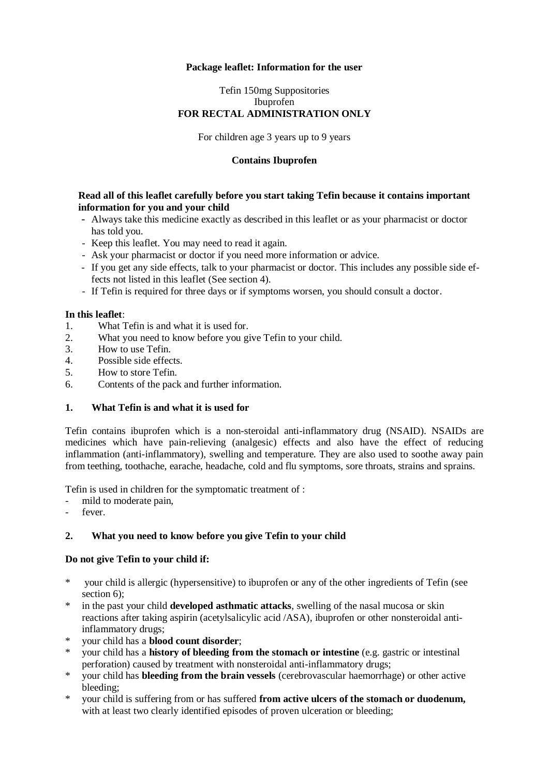## **Package leaflet: Information for the user**

## Tefin 150mg Suppositories Ibuprofen **FOR RECTAL ADMINISTRATION ONLY**

For children age 3 years up to 9 years

## **Contains Ibuprofen**

## **Read all of this leaflet carefully before you start taking Tefin because it contains important information for you and your child**

- Always take this medicine exactly as described in this leaflet or as your pharmacist or doctor has told you.
- Keep this leaflet. You may need to read it again.
- Ask your pharmacist or doctor if you need more information or advice.
- If you get any side effects, talk to your pharmacist or doctor. This includes any possible side effects not listed in this leaflet (See section 4).
- If Tefin is required for three days or if symptoms worsen, you should consult a doctor.

## **In this leaflet**:

- 1. What Tefin is and what it is used for.
- 2. What you need to know before you give Tefin to your child.
- 3. How to use Tefin.
- 4. Possible side effects.
- 5. How to store Tefin.
- 6. Contents of the pack and further information.

# **1. What Tefin is and what it is used for**

Tefin contains ibuprofen which is a non-steroidal anti-inflammatory drug (NSAID). NSAIDs are medicines which have pain-relieving (analgesic) effects and also have the effect of reducing inflammation (anti-inflammatory), swelling and temperature. They are also used to soothe away pain from teething, toothache, earache, headache, cold and flu symptoms, sore throats, strains and sprains.

Tefin is used in children for the symptomatic treatment of :

- mild to moderate pain,
- fever

# **2. What you need to know before you give Tefin to your child**

## **Do not give Tefin to your child if:**

- \* your child is allergic (hypersensitive) to ibuprofen or any of the other ingredients of Tefin (see section 6):
- in the past your child **developed asthmatic attacks**, swelling of the nasal mucosa or skin reactions after taking aspirin (acetylsalicylic acid /ASA), ibuprofen or other nonsteroidal antiinflammatory drugs;
- \* your child has a **blood count disorder**;
- \* your child has a **history of bleeding from the stomach or intestine** (e.g. gastric or intestinal perforation) caused by treatment with nonsteroidal anti-inflammatory drugs;
- \* your child has **bleeding from the brain vessels** (cerebrovascular haemorrhage) or other active bleeding;
- \* your child is suffering from or has suffered **from active ulcers of the stomach or duodenum,** with at least two clearly identified episodes of proven ulceration or bleeding;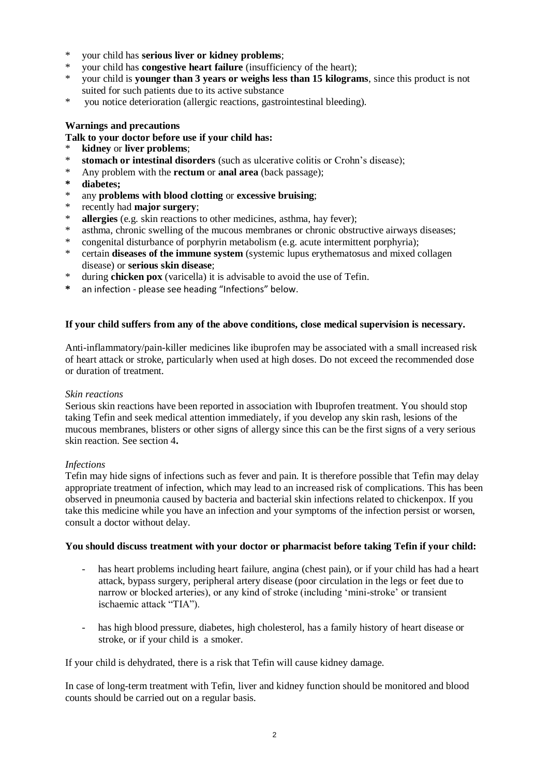- \* your child has **serious liver or kidney problems**;
- \* your child has **congestive heart failure** (insufficiency of the heart);
- \* your child is **younger than 3 years or weighs less than 15 kilograms**, since this product is not suited for such patients due to its active substance
- \* you notice deterioration (allergic reactions, gastrointestinal bleeding).

## **Warnings and precautions**

# **Talk to your doctor before use if your child has:**

- \* **kidney** or **liver problems**;
- **stomach or intestinal disorders** (such as ulcerative colitis or Crohn's disease);
- \* Any problem with the **rectum** or **anal area** (back passage);
- **\* diabetes;**
- \* any **problems with blood clotting** or **excessive bruising**;
- \* recently had **major surgery**;<br>\* **allergies** (e.g. skin reactions in
- \* **allergies** (e.g. skin reactions to other medicines, asthma, hay fever);<br>\* asthma, chronic swelling of the mucous membranes or chronic obstr
- asthma, chronic swelling of the mucous membranes or chronic obstructive airways diseases;
- \* congenital disturbance of porphyrin metabolism (e.g. acute intermittent porphyria);
- \* certain **diseases of the immune system** (systemic lupus erythematosus and mixed collagen disease) or **serious skin disease**;
- \* during **chicken pox** (varicella) it is advisable to avoid the use of Tefin.
- **\*** an infection please see heading "Infections" below.

## **If your child suffers from any of the above conditions, close medical supervision is necessary.**

Anti-inflammatory/pain-killer medicines like ibuprofen may be associated with a small increased risk of heart attack or stroke, particularly when used at high doses. Do not exceed the recommended dose or duration of treatment.

## *Skin reactions*

Serious skin reactions have been reported in association with Ibuprofen treatment. You should stop taking Tefin and seek medical attention immediately, if you develop any skin rash, lesions of the mucous membranes, blisters or other signs of allergy since this can be the first signs of a very serious skin reaction. See section 4**.**

## *Infections*

Tefin may hide signs of infections such as fever and pain. It is therefore possible that Tefin may delay appropriate treatment of infection, which may lead to an increased risk of complications. This has been observed in pneumonia caused by bacteria and bacterial skin infections related to chickenpox. If you take this medicine while you have an infection and your symptoms of the infection persist or worsen, consult a doctor without delay.

## **You should discuss treatment with your doctor or pharmacist before taking Tefin if your child:**

- has heart problems including heart failure, angina (chest pain), or if your child has had a heart attack, bypass surgery, peripheral artery disease (poor circulation in the legs or feet due to narrow or blocked arteries), or any kind of stroke (including 'mini-stroke' or transient ischaemic attack "TIA").
- has high blood pressure, diabetes, high cholesterol, has a family history of heart disease or stroke, or if your child is a smoker.

If your child is dehydrated, there is a risk that Tefin will cause kidney damage.

In case of long-term treatment with Tefin, liver and kidney function should be monitored and blood counts should be carried out on a regular basis.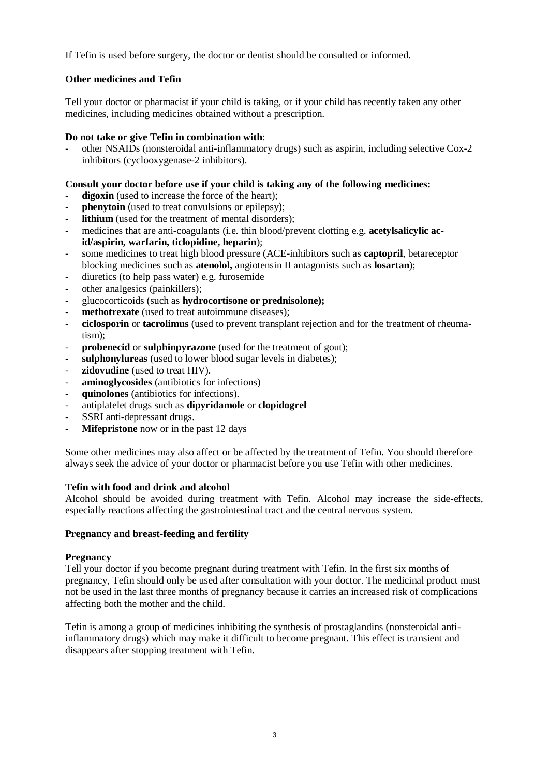If Tefin is used before surgery, the doctor or dentist should be consulted or informed.

# **Other medicines and Tefin**

Tell your doctor or pharmacist if your child is taking, or if your child has recently taken any other medicines, including medicines obtained without a prescription.

## **Do not take or give Tefin in combination with**:

- other NSAIDs (nonsteroidal anti-inflammatory drugs) such as aspirin, including selective Cox-2 inhibitors (cyclooxygenase-2 inhibitors).

## **Consult your doctor before use if your child is taking any of the following medicines:**

- digoxin (used to increase the force of the heart);
- **phenytoin** (used to treat convulsions or epilepsy);
- **lithium** (used for the treatment of mental disorders);
- medicines that are anti-coagulants (i.e. thin blood/prevent clotting e.g. **acetylsalicylic acid/aspirin, warfarin, ticlopidine, heparin**);
- some medicines to treat high blood pressure (ACE-inhibitors such as **captopril**, betareceptor blocking medicines such as **atenolol,** angiotensin II antagonists such as **losartan**);
- diuretics (to help pass water) e.g. furosemide
- other analgesics (painkillers);
- glucocorticoids (such as **hydrocortisone or prednisolone);**
- **methotrexate** (used to treat autoimmune diseases);
- **ciclosporin** or **tacrolimus** (used to prevent transplant rejection and for the treatment of rheumatism);
- probenecid or sulphinpyrazone (used for the treatment of gout);
- **sulphonylureas** (used to lower blood sugar levels in diabetes);
- **zidovudine** (used to treat HIV).
- **aminoglycosides** (antibiotics for infections)
- **quinolones** (antibiotics for infections).
- antiplatelet drugs such as **dipyridamole** or **clopidogrel**
- SSRI anti-depressant drugs.
- **Mifepristone** now or in the past 12 days

Some other medicines may also affect or be affected by the treatment of Tefin. You should therefore always seek the advice of your doctor or pharmacist before you use Tefin with other medicines.

## **Tefin with food and drink and alcohol**

Alcohol should be avoided during treatment with Tefin. Alcohol may increase the side-effects, especially reactions affecting the gastrointestinal tract and the central nervous system.

## **Pregnancy and breast-feeding and fertility**

## **Pregnancy**

Tell your doctor if you become pregnant during treatment with Tefin. In the first six months of pregnancy, Tefin should only be used after consultation with your doctor. The medicinal product must not be used in the last three months of pregnancy because it carries an increased risk of complications affecting both the mother and the child.

Tefin is among a group of medicines inhibiting the synthesis of prostaglandins (nonsteroidal antiinflammatory drugs) which may make it difficult to become pregnant. This effect is transient and disappears after stopping treatment with Tefin.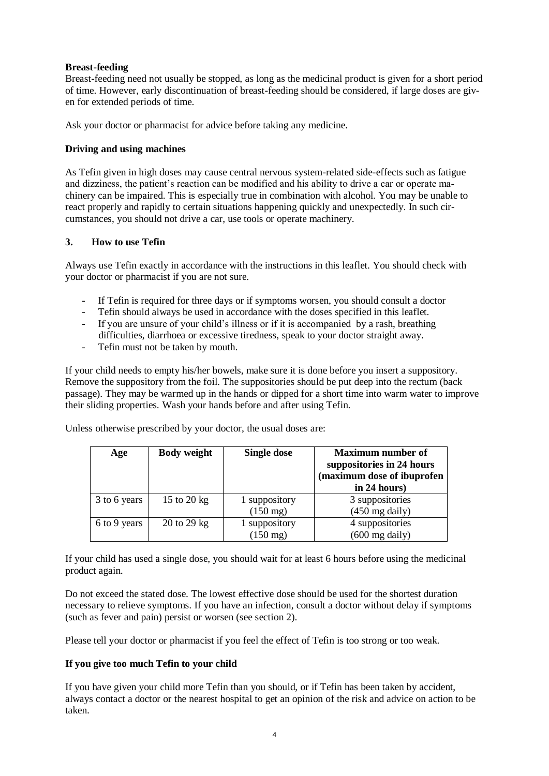## **Breast-feeding**

Breast-feeding need not usually be stopped, as long as the medicinal product is given for a short period of time. However, early discontinuation of breast-feeding should be considered, if large doses are given for extended periods of time.

Ask your doctor or pharmacist for advice before taking any medicine.

## **Driving and using machines**

As Tefin given in high doses may cause central nervous system-related side-effects such as fatigue and dizziness, the patient's reaction can be modified and his ability to drive a car or operate machinery can be impaired. This is especially true in combination with alcohol. You may be unable to react properly and rapidly to certain situations happening quickly and unexpectedly. In such circumstances, you should not drive a car, use tools or operate machinery.

## **3. How to use Tefin**

Always use Tefin exactly in accordance with the instructions in this leaflet. You should check with your doctor or pharmacist if you are not sure.

- If Tefin is required for three days or if symptoms worsen, you should consult a doctor
- Tefin should always be used in accordance with the doses specified in this leaflet.
- If you are unsure of your child's illness or if it is accompanied by a rash, breathing difficulties, diarrhoea or excessive tiredness, speak to your doctor straight away.
- Tefin must not be taken by mouth.

If your child needs to empty his/her bowels, make sure it is done before you insert a suppository. Remove the suppository from the foil. The suppositories should be put deep into the rectum (back passage). They may be warmed up in the hands or dipped for a short time into warm water to improve their sliding properties. Wash your hands before and after using Tefin.

Unless otherwise prescribed by your doctor, the usual doses are:

| Age          | <b>Body weight</b> | <b>Single dose</b> | <b>Maximum number of</b><br>suppositories in 24 hours<br>(maximum dose of ibuprofen<br>in 24 hours) |
|--------------|--------------------|--------------------|-----------------------------------------------------------------------------------------------------|
| 3 to 6 years | 15 to 20 kg        | 1 suppository      | 3 suppositories                                                                                     |
|              |                    | $(150 \text{ mg})$ | $(450 \text{ mg daily})$                                                                            |
| 6 to 9 years | 20 to 29 kg        | 1 suppository      | 4 suppositories                                                                                     |
|              |                    | $(150 \text{ mg})$ | $(600 \text{ mg daily})$                                                                            |

If your child has used a single dose, you should wait for at least 6 hours before using the medicinal product again.

Do not exceed the stated dose. The lowest effective dose should be used for the shortest duration necessary to relieve symptoms. If you have an infection, consult a doctor without delay if symptoms (such as fever and pain) persist or worsen (see section 2).

Please tell your doctor or pharmacist if you feel the effect of Tefin is too strong or too weak.

# **If you give too much Tefin to your child**

If you have given your child more Tefin than you should, or if Tefin has been taken by accident, always contact a doctor or the nearest hospital to get an opinion of the risk and advice on action to be taken.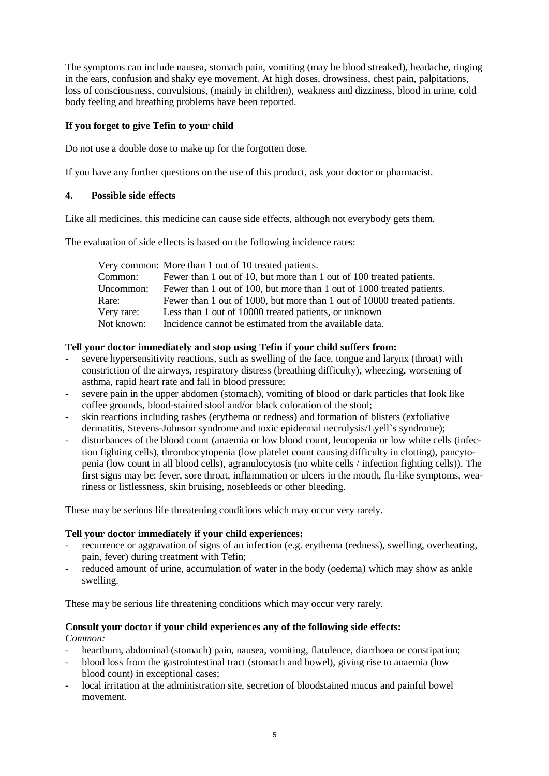The symptoms can include nausea, stomach pain, vomiting (may be blood streaked), headache, ringing in the ears, confusion and shaky eye movement. At high doses, drowsiness, chest pain, palpitations, loss of consciousness, convulsions, (mainly in children), weakness and dizziness, blood in urine, cold body feeling and breathing problems have been reported.

# **If you forget to give Tefin to your child**

Do not use a double dose to make up for the forgotten dose.

If you have any further questions on the use of this product, ask your doctor or pharmacist.

# **4. Possible side effects**

Like all medicines, this medicine can cause side effects, although not everybody gets them.

The evaluation of side effects is based on the following incidence rates:

|            | Very common: More than 1 out of 10 treated patients.                     |
|------------|--------------------------------------------------------------------------|
| Common:    | Fewer than 1 out of 10, but more than 1 out of 100 treated patients.     |
| Uncommon:  | Fewer than 1 out of 100, but more than 1 out of 1000 treated patients.   |
| Rare:      | Fewer than 1 out of 1000, but more than 1 out of 10000 treated patients. |
| Very rare: | Less than 1 out of 10000 treated patients, or unknown                    |
| Not known: | Incidence cannot be estimated from the available data.                   |

# **Tell your doctor immediately and stop using Tefin if your child suffers from:**

- severe hypersensitivity reactions, such as swelling of the face, tongue and larynx (throat) with constriction of the airways, respiratory distress (breathing difficulty), wheezing, worsening of asthma, rapid heart rate and fall in blood pressure;
- severe pain in the upper abdomen (stomach), vomiting of blood or dark particles that look like coffee grounds, blood-stained stool and/or black coloration of the stool;
- skin reactions including rashes (erythema or redness) and formation of blisters (exfoliative dermatitis, Stevens-Johnson syndrome and toxic epidermal necrolysis/Lyell`s syndrome);
- disturbances of the blood count (anaemia or low blood count, leucopenia or low white cells (infection fighting cells), thrombocytopenia (low platelet count causing difficulty in clotting), pancytopenia (low count in all blood cells), agranulocytosis (no white cells / infection fighting cells)). The first signs may be: fever, sore throat, inflammation or ulcers in the mouth, flu-like symptoms, weariness or listlessness, skin bruising, nosebleeds or other bleeding.

These may be serious life threatening conditions which may occur very rarely.

# **Tell your doctor immediately if your child experiences:**

- recurrence or aggravation of signs of an infection (e.g. erythema (redness), swelling, overheating, pain, fever) during treatment with Tefin;
- reduced amount of urine, accumulation of water in the body (oedema) which may show as ankle swelling.

These may be serious life threatening conditions which may occur very rarely.

# **Consult your doctor if your child experiences any of the following side effects:**

*Common:* 

- heartburn, abdominal (stomach) pain, nausea, vomiting, flatulence, diarrhoea or constipation;
- blood loss from the gastrointestinal tract (stomach and bowel), giving rise to anaemia (low blood count) in exceptional cases;
- local irritation at the administration site, secretion of bloodstained mucus and painful bowel movement.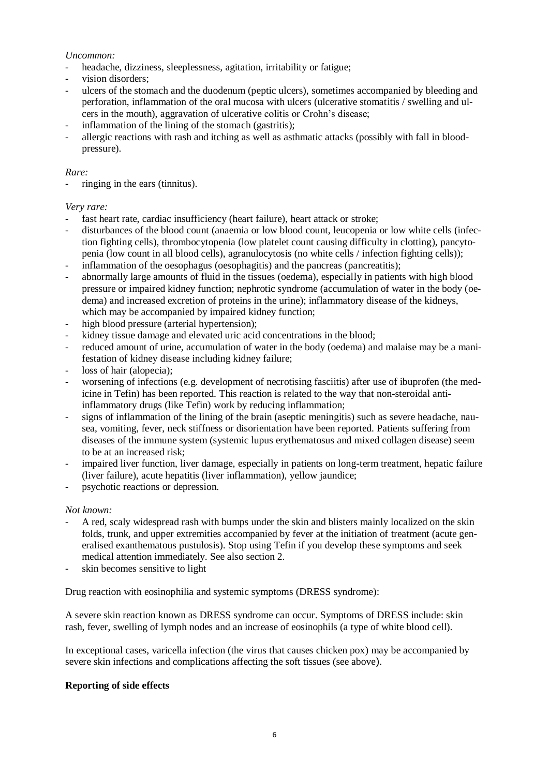## *Uncommon:*

- headache, dizziness, sleeplessness, agitation, irritability or fatigue;
- vision disorders:
- ulcers of the stomach and the duodenum (peptic ulcers), sometimes accompanied by bleeding and perforation, inflammation of the oral mucosa with ulcers (ulcerative stomatitis / swelling and ulcers in the mouth), aggravation of ulcerative colitis or Crohn's disease;
- inflammation of the lining of the stomach (gastritis);
- allergic reactions with rash and itching as well as asthmatic attacks (possibly with fall in bloodpressure).

# *Rare:*

ringing in the ears (tinnitus).

# *Very rare:*

- fast heart rate, cardiac insufficiency (heart failure), heart attack or stroke;
- disturbances of the blood count (anaemia or low blood count, leucopenia or low white cells (infection fighting cells), thrombocytopenia (low platelet count causing difficulty in clotting), pancytopenia (low count in all blood cells), agranulocytosis (no white cells / infection fighting cells));
- inflammation of the oesophagus (oesophagitis) and the pancreas (pancreatitis);
- abnormally large amounts of fluid in the tissues (oedema), especially in patients with high blood pressure or impaired kidney function; nephrotic syndrome (accumulation of water in the body (oedema) and increased excretion of proteins in the urine); inflammatory disease of the kidneys, which may be accompanied by impaired kidney function;
- high blood pressure (arterial hypertension);
- kidney tissue damage and elevated uric acid concentrations in the blood;
- reduced amount of urine, accumulation of water in the body (oedema) and malaise may be a manifestation of kidney disease including kidney failure;
- loss of hair (alopecia):
- worsening of infections (e.g. development of necrotising fasciitis) after use of ibuprofen (the medicine in Tefin) has been reported. This reaction is related to the way that non-steroidal antiinflammatory drugs (like Tefin) work by reducing inflammation;
- signs of inflammation of the lining of the brain (aseptic meningitis) such as severe headache, nausea, vomiting, fever, neck stiffness or disorientation have been reported. Patients suffering from diseases of the immune system (systemic lupus erythematosus and mixed collagen disease) seem to be at an increased risk;
- impaired liver function, liver damage, especially in patients on long-term treatment, hepatic failure (liver failure), acute hepatitis (liver inflammation), yellow jaundice;
- psychotic reactions or depression.

# *Not known:*

- A red, scaly widespread rash with bumps under the skin and blisters mainly localized on the skin folds, trunk, and upper extremities accompanied by fever at the initiation of treatment (acute generalised exanthematous pustulosis). Stop using Tefin if you develop these symptoms and seek medical attention immediately. See also section 2.
- skin becomes sensitive to light

Drug reaction with eosinophilia and systemic symptoms (DRESS syndrome):

A severe skin reaction known as DRESS syndrome can occur. Symptoms of DRESS include: skin rash, fever, swelling of lymph nodes and an increase of eosinophils (a type of white blood cell).

In exceptional cases, varicella infection (the virus that causes chicken pox) may be accompanied by severe skin infections and complications affecting the soft tissues (see above).

# **Reporting of side effects**